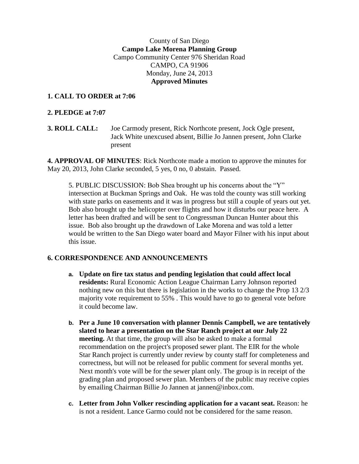## County of San Diego **Campo Lake Morena Planning Group** Campo Community Center 976 Sheridan Road CAMPO, CA 91906 Monday, June 24, 2013 **Approved Minutes**

## **1. CALL TO ORDER at 7:06**

## **2. PLEDGE at 7:07**

**3. ROLL CALL:** Joe Carmody present, Rick Northcote present, Jock Ogle present, Jack White unexcused absent, Billie Jo Jannen present, John Clarke present

**4. APPROVAL OF MINUTES**: Rick Northcote made a motion to approve the minutes for May 20, 2013, John Clarke seconded, 5 yes, 0 no, 0 abstain. Passed.

5. PUBLIC DISCUSSION: Bob Shea brought up his concerns about the "Y" intersection at Buckman Springs and Oak. He was told the county was still working with state parks on easements and it was in progress but still a couple of years out yet. Bob also brought up the helicopter over flights and how it disturbs our peace here. A letter has been drafted and will be sent to Congressman Duncan Hunter about this issue. Bob also brought up the drawdown of Lake Morena and was told a letter would be written to the San Diego water board and Mayor Filner with his input about this issue.

# **6. CORRESPONDENCE AND ANNOUNCEMENTS**

- **a. Update on fire tax status and pending legislation that could affect local residents:** Rural Economic Action League Chairman Larry Johnson reported nothing new on this but there is legislation in the works to change the Prop 13 2/3 majority vote requirement to 55% . This would have to go to general vote before it could become law.
- **b. Per a June 10 conversation with planner Dennis Campbell, we are tentatively slated to hear a presentation on the Star Ranch project at our July 22 meeting.** At that time, the group will also be asked to make a formal recommendation on the project's proposed sewer plant. The EIR for the whole Star Ranch project is currently under review by county staff for completeness and correctness, but will not be released for public comment for several months yet. Next month's vote will be for the sewer plant only. The group is in receipt of the grading plan and proposed sewer plan. Members of the public may receive copies by emailing Chairman Billie Jo Jannen at jannen@inbox.com.
- **c. Letter from John Volker rescinding application for a vacant seat.** Reason: he is not a resident. Lance Garmo could not be considered for the same reason.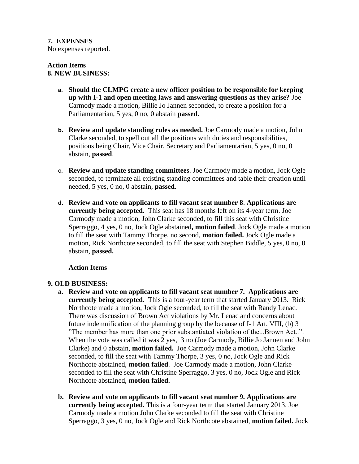### **7. EXPENSES**

No expenses reported.

#### **Action Items 8. NEW BUSINESS:**

- **a. Should the CLMPG create a new officer position to be responsible for keeping up with I-1 and open meeting laws and answering questions as they arise?** Joe Carmody made a motion, Billie Jo Jannen seconded, to create a position for a Parliamentarian, 5 yes, 0 no, 0 abstain **passed**.
- **b. Review and update standing rules as needed.** Joe Carmody made a motion, John Clarke seconded, to spell out all the positions with duties and responsibilities, positions being Chair, Vice Chair, Secretary and Parliamentarian, 5 yes, 0 no, 0 abstain, **passed**.
- **c. Review and update standing committees**. Joe Carmody made a motion, Jock Ogle seconded, to terminate all existing standing committees and table their creation until needed, 5 yes, 0 no, 0 abstain, **passed**.
- **d. Review and vote on applicants to fill vacant seat number 8**. **Applications are currently being accepted.** This seat has 18 months left on its 4-year term. Joe Carmody made a motion, John Clarke seconded, to fill this seat with Christine Sperraggo, 4 yes, 0 no, Jock Ogle abstained**, motion failed**. Jock Ogle made a motion to fill the seat with Tammy Thorpe, no second, **motion failed.** Jock Ogle made a motion, Rick Northcote seconded, to fill the seat with Stephen Biddle, 5 yes, 0 no, 0 abstain, **passed.**

### **Action Items**

# **9. OLD BUSINESS:**

- **a. Review and vote on applicants to fill vacant seat number 7. Applications are currently being accepted.** This is a four-year term that started January 2013. Rick Northcote made a motion, Jock Ogle seconded, to fill the seat with Randy Lenac. There was discussion of Brown Act violations by Mr. Lenac and concerns about future indemnification of the planning group by the because of I-1 Art. VIII, (b) 3 "The member has more than one prior substantiated violation of the...Brown Act..". When the vote was called it was 2 yes, 3 no (Joe Carmody, Billie Jo Jannen and John Clarke) and 0 abstain, **motion failed.** Joe Carmody made a motion, John Clarke seconded, to fill the seat with Tammy Thorpe, 3 yes, 0 no, Jock Ogle and Rick Northcote abstained, **motion failed**. Joe Carmody made a motion, John Clarke seconded to fill the seat with Christine Sperraggo, 3 yes, 0 no, Jock Ogle and Rick Northcote abstained, **motion failed.**
- **b. Review and vote on applicants to fill vacant seat number 9. Applications are currently being accepted.** This is a four-year term that started January 2013. Joe Carmody made a motion John Clarke seconded to fill the seat with Christine Sperraggo, 3 yes, 0 no, Jock Ogle and Rick Northcote abstained, **motion failed.** Jock